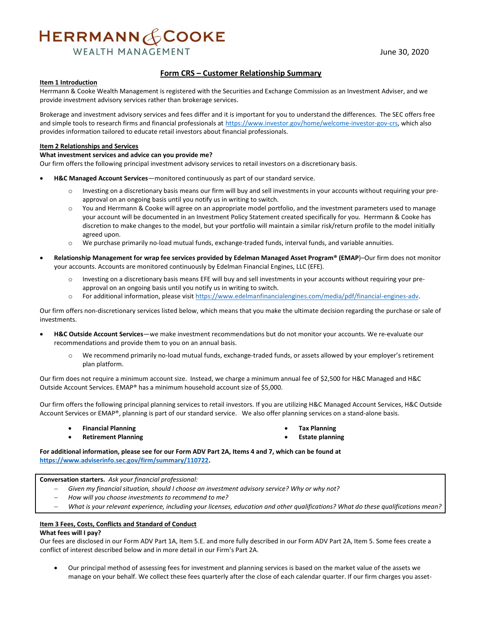# HERRMANN & COOKE

**WEALTH MANAGEMENT** 

# **Form CRS – Customer Relationship Summary**

#### **Item 1 Introduction**

Herrmann & Cooke Wealth Management is registered with the Securities and Exchange Commission as an Investment Adviser, and we provide investment advisory services rather than brokerage services.

Brokerage and investment advisory services and fees differ and it is important for you to understand the differences.  The SEC offers free and simple tools to research firms and financial professionals at [https://www.investor.gov/home/welcome-investor-gov-crs,](https://www.investor.gov/home/welcome-investor-gov-crs) which also provides information tailored to educate retail investors about financial professionals.

#### **Item 2 Relationships and Services**

# **What investment services and advice can you provide me?**

Our firm offers the following principal investment advisory services to retail investors on a discretionary basis.

- **H&C Managed Account Services**—monitored continuously as part of our standard service.
	- Investing on a discretionary basis means our firm will buy and sell investments in your accounts without requiring your preapproval on an ongoing basis until you notify us in writing to switch.
	- o You and Herrmann & Cooke will agree on an appropriate model portfolio, and the investment parameters used to manage your account will be documented in an Investment Policy Statement created specifically for you. Herrmann & Cooke has discretion to make changes to the model, but your portfolio will maintain a similar risk/return profile to the model initially agreed upon.
	- o We purchase primarily no-load mutual funds, exchange-traded funds, interval funds, and variable annuities.
- **Relationship Management for wrap fee services provided by Edelman Managed Asset Program® (EMAP**)–Our firm does not monitor your accounts. Accounts are monitored continuously by Edelman Financial Engines, LLC (EFE).
	- Investing on a discretionary basis means EFE will buy and sell investments in your accounts without requiring your preapproval on an ongoing basis until you notify us in writing to switch.
	- o For additional information, please visi[t https://www.edelmanfinancialengines.com/media/pdf/financial-engines-adv.](https://www.edelmanfinancialengines.com/media/pdf/financial-engines-adv)

Our firm offers non-discretionary services listed below, which means that you make the ultimate decision regarding the purchase or sale of investments.

- **H&C Outside Account Services**—we make investment recommendations but do not monitor your accounts. We re-evaluate our recommendations and provide them to you on an annual basis.
	- We recommend primarily no-load mutual funds, exchange-traded funds, or assets allowed by your employer's retirement plan platform.

Our firm does not require a minimum account size. Instead, we charge a minimum annual fee of \$2,500 for H&C Managed and H&C Outside Account Services. EMAP® has a minimum household account size of \$5,000.

Our firm offers the following principal planning services to retail investors. If you are utilizing H&C Managed Account Services, H&C Outside Account Services or EMAP®, planning is part of our standard service. We also offer planning services on a stand-alone basis.

**Financial Planning**

**Tax Planning**

**Retirement Planning**

**Estate planning**

**For additional information, please see for our Form ADV Part 2A, Items 4 and 7, which can be found at [https://www.adviserinfo.sec.gov/firm/summary/110722.](https://www.adviserinfo.sec.gov/firm/summary/110722)**

**Conversation starters.***Ask your financial professional:*

- *Given my financial situation, should I choose an investment advisory service? Why or why not?*
- *How will you choose investments to recommend to me?*
- *What is your relevant experience, including your licenses, education and other qualifications? What do these qualifications mean?*

# **Item 3 Fees, Costs, Conflicts and Standard of Conduct**

# **What fees will I pay?**

Our fees are disclosed in our Form ADV Part 1A, Item 5.E. and more fully described in our Form ADV Part 2A, Item 5. Some fees create a conflict of interest described below and in more detail in our Firm's Part 2A.

 Our principal method of assessing fees for investment and planning services is based on the market value of the assets we manage on your behalf. We collect these fees quarterly after the close of each calendar quarter. If our firm charges you asset